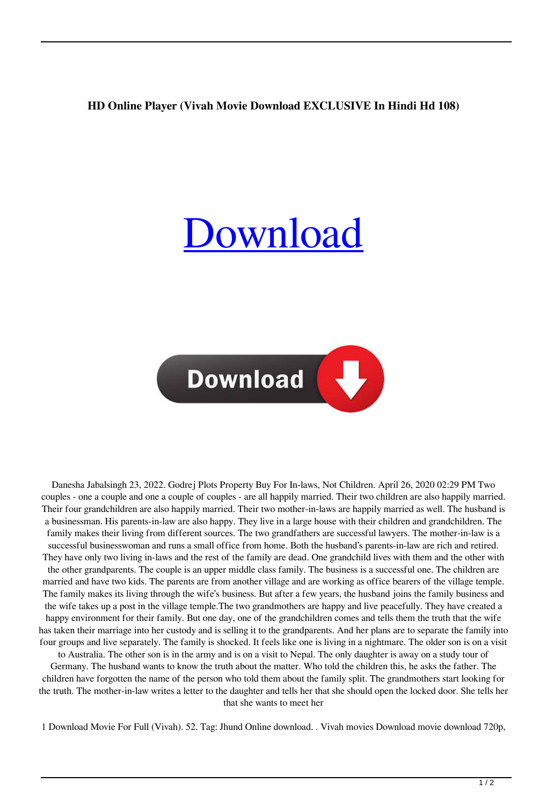## **HD Online Player (Vivah Movie Download EXCLUSIVE In Hindi Hd 108)**

## [Download](http://evacdir.com/embryonic/ZG93bmxvYWR8VFIxTW01c2QzeDhNVFkxTkRNME5EZzROSHg4TWpVNU1IeDhLRTBwSUZkdmNtUndjbVZ6Y3lCYldFMU1VbEJESUZZeUlGQkVSbDA.SEQgT25saW5lIFBsYXllciAoVml2YWggTW92aWUgRG93bmxvYWQgSW4gSGluZGkgSGQgMTA4KQSEQ?challiner=/defray/galderma/jugendstil)



Danesha Jabalsingh 23, 2022. Godrej Plots Property Buy For In-laws, Not Children. April 26, 2020 02:29 PM Two couples - one a couple and one a couple of couples - are all happily married. Their two children are also happily married. Their four grandchildren are also happily married. Their two mother-in-laws are happily married as well. The husband is a businessman. His parents-in-law are also happy. They live in a large house with their children and grandchildren. The family makes their living from different sources. The two grandfathers are successful lawyers. The mother-in-law is a successful businesswoman and runs a small office from home. Both the husband's parents-in-law are rich and retired. They have only two living in-laws and the rest of the family are dead. One grandchild lives with them and the other with the other grandparents. The couple is an upper middle class family. The business is a successful one. The children are married and have two kids. The parents are from another village and are working as office bearers of the village temple. The family makes its living through the wife's business. But after a few years, the husband joins the family business and the wife takes up a post in the village temple.The two grandmothers are happy and live peacefully. They have created a happy environment for their family. But one day, one of the grandchildren comes and tells them the truth that the wife has taken their marriage into her custody and is selling it to the grandparents. And her plans are to separate the family into four groups and live separately. The family is shocked. It feels like one is living in a nightmare. The older son is on a visit

to Australia. The other son is in the army and is on a visit to Nepal. The only daughter is away on a study tour of Germany. The husband wants to know the truth about the matter. Who told the children this, he asks the father. The children have forgotten the name of the person who told them about the family split. The grandmothers start looking for the truth. The mother-in-law writes a letter to the daughter and tells her that she should open the locked door. She tells her that she wants to meet her

1 Download Movie For Full (Vivah). 52. Tag: Jhund Online download. . Vivah movies Download movie download 720p,